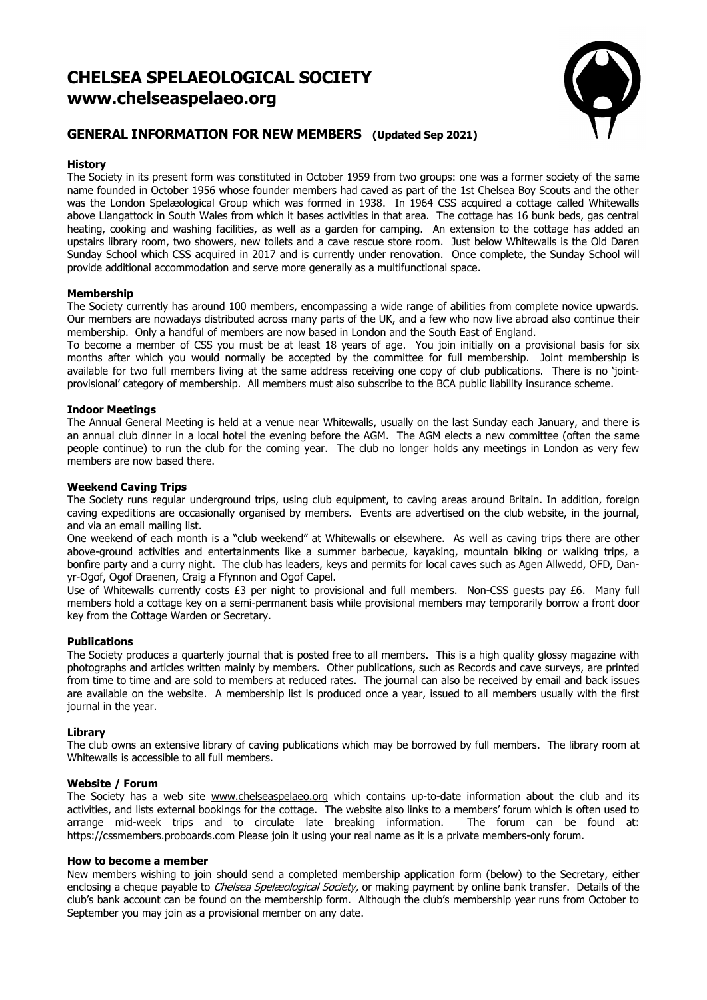# **CHELSEA SPELAEOLOGICAL SOCIETY www.chelseaspelaeo.org**



## **GENERAL INFORMATION FOR NEW MEMBERS (Updated Sep 2021)**

## **History**

The Society in its present form was constituted in October 1959 from two groups: one was a former society of the same name founded in October 1956 whose founder members had caved as part of the 1st Chelsea Boy Scouts and the other was the London Spelæological Group which was formed in 1938. In 1964 CSS acquired a cottage called Whitewalls above Llangattock in South Wales from which it bases activities in that area. The cottage has 16 bunk beds, gas central heating, cooking and washing facilities, as well as a garden for camping. An extension to the cottage has added an upstairs library room, two showers, new toilets and a cave rescue store room. Just below Whitewalls is the Old Daren Sunday School which CSS acquired in 2017 and is currently under renovation. Once complete, the Sunday School will provide additional accommodation and serve more generally as a multifunctional space.

## **Membership**

The Society currently has around 100 members, encompassing a wide range of abilities from complete novice upwards. Our members are nowadays distributed across many parts of the UK, and a few who now live abroad also continue their membership. Only a handful of members are now based in London and the South East of England.

To become a member of CSS you must be at least 18 years of age. You join initially on a provisional basis for six months after which you would normally be accepted by the committee for full membership. Joint membership is available for two full members living at the same address receiving one copy of club publications. There is no 'jointprovisional' category of membership. All members must also subscribe to the BCA public liability insurance scheme.

## **Indoor Meetings**

The Annual General Meeting is held at a venue near Whitewalls, usually on the last Sunday each January, and there is an annual club dinner in a local hotel the evening before the AGM. The AGM elects a new committee (often the same people continue) to run the club for the coming year. The club no longer holds any meetings in London as very few members are now based there.

## **Weekend Caving Trips**

The Society runs regular underground trips, using club equipment, to caving areas around Britain. In addition, foreign caving expeditions are occasionally organised by members. Events are advertised on the club website, in the journal, and via an email mailing list.

One weekend of each month is a "club weekend" at Whitewalls or elsewhere. As well as caving trips there are other above-ground activities and entertainments like a summer barbecue, kayaking, mountain biking or walking trips, a bonfire party and a curry night. The club has leaders, keys and permits for local caves such as Agen Allwedd, OFD, Danyr-Ogof, Ogof Draenen, Craig a Ffynnon and Ogof Capel.

Use of Whitewalls currently costs £3 per night to provisional and full members. Non-CSS guests pay £6. Many full members hold a cottage key on a semi-permanent basis while provisional members may temporarily borrow a front door key from the Cottage Warden or Secretary.

## **Publications**

The Society produces a quarterly journal that is posted free to all members. This is a high quality glossy magazine with photographs and articles written mainly by members. Other publications, such as Records and cave surveys, are printed from time to time and are sold to members at reduced rates. The journal can also be received by email and back issues are available on the website. A membership list is produced once a year, issued to all members usually with the first journal in the year.

## **Library**

The club owns an extensive library of caving publications which may be borrowed by full members. The library room at Whitewalls is accessible to all full members.

#### **Website / Forum**

The Society has a web site www.chelseaspelaeo.org which contains up-to-date information about the club and its activities, and lists external bookings for the cottage. The website also links to a members' forum which is often used to arrange mid-week trips and to circulate late breaking information. The forum can be found at: https://cssmembers.proboards.com Please join it using your real name as it is a private members-only forum.

## **How to become a member**

New members wishing to join should send a completed membership application form (below) to the Secretary, either enclosing a cheque payable to Chelsea Spelæological Society, or making payment by online bank transfer. Details of the club's bank account can be found on the membership form. Although the club's membership year runs from October to September you may join as a provisional member on any date.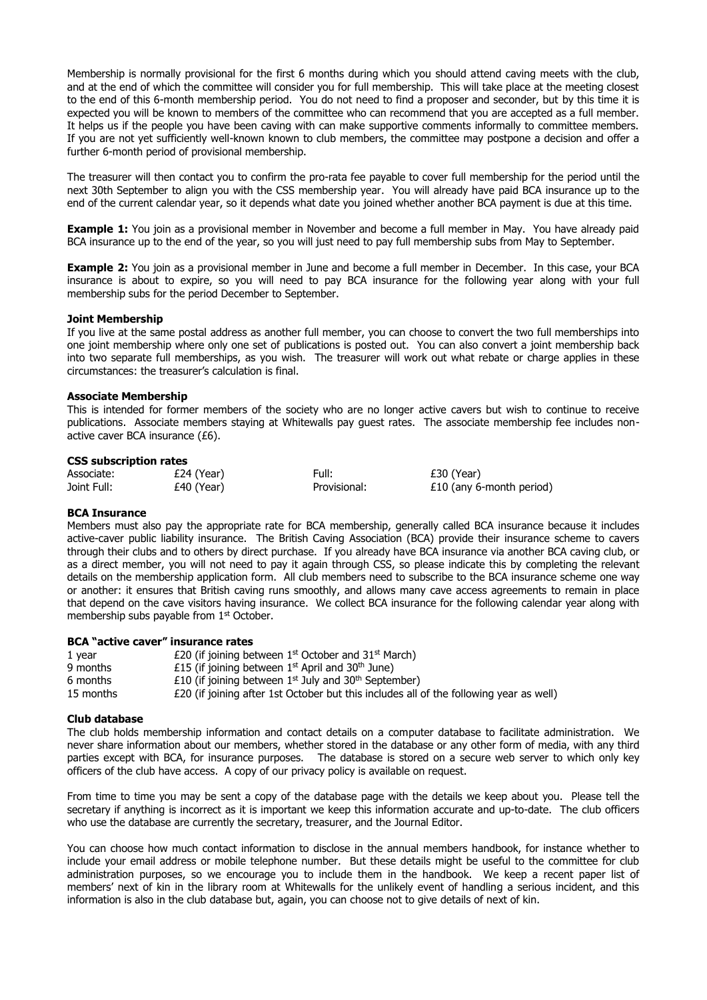Membership is normally provisional for the first 6 months during which you should attend caving meets with the club, and at the end of which the committee will consider you for full membership. This will take place at the meeting closest to the end of this 6-month membership period. You do not need to find a proposer and seconder, but by this time it is expected you will be known to members of the committee who can recommend that you are accepted as a full member. It helps us if the people you have been caving with can make supportive comments informally to committee members. If you are not yet sufficiently well-known known to club members, the committee may postpone a decision and offer a further 6-month period of provisional membership.

The treasurer will then contact you to confirm the pro-rata fee payable to cover full membership for the period until the next 30th September to align you with the CSS membership year. You will already have paid BCA insurance up to the end of the current calendar year, so it depends what date you joined whether another BCA payment is due at this time.

**Example 1:** You join as a provisional member in November and become a full member in May. You have already paid BCA insurance up to the end of the year, so you will just need to pay full membership subs from May to September.

**Example 2:** You join as a provisional member in June and become a full member in December. In this case, your BCA insurance is about to expire, so you will need to pay BCA insurance for the following year along with your full membership subs for the period December to September.

#### **Joint Membership**

If you live at the same postal address as another full member, you can choose to convert the two full memberships into one joint membership where only one set of publications is posted out. You can also convert a joint membership back into two separate full memberships, as you wish. The treasurer will work out what rebate or charge applies in these circumstances: the treasurer's calculation is final.

#### **Associate Membership**

This is intended for former members of the society who are no longer active cavers but wish to continue to receive publications. Associate members staying at Whitewalls pay guest rates. The associate membership fee includes nonactive caver BCA insurance (£6).

#### **CSS subscription rates**

| Associate:  | £24 (Year) |  |
|-------------|------------|--|
| Joint Full: | £40 (Year) |  |

 $Full: 230 (Year)$ Provisional:  $£10$  (any 6-month period)

#### **BCA Insurance**

Members must also pay the appropriate rate for BCA membership, generally called BCA insurance because it includes active-caver public liability insurance. The British Caving Association (BCA) provide their insurance scheme to cavers through their clubs and to others by direct purchase. If you already have BCA insurance via another BCA caving club, or as a direct member, you will not need to pay it again through CSS, so please indicate this by completing the relevant details on the membership application form. All club members need to subscribe to the BCA insurance scheme one way or another: it ensures that British caving runs smoothly, and allows many cave access agreements to remain in place that depend on the cave visitors having insurance. We collect BCA insurance for the following calendar year along with membership subs payable from 1<sup>st</sup> October.

#### **BCA "active caver" insurance rates**

| 1 year    | £20 (if joining between $1st$ October and 31 $st$ March)                               |
|-----------|----------------------------------------------------------------------------------------|
| 9 months  | £15 (if joining between $1st$ April and 30 <sup>th</sup> June)                         |
| 6 months  | £10 (if joining between $1^{st}$ July and 30 <sup>th</sup> September)                  |
| 15 months | £20 (if joining after 1st October but this includes all of the following year as well) |

#### **Club database**

The club holds membership information and contact details on a computer database to facilitate administration. We never share information about our members, whether stored in the database or any other form of media, with any third parties except with BCA, for insurance purposes. The database is stored on a secure web server to which only key officers of the club have access. A copy of our privacy policy is available on request.

From time to time you may be sent a copy of the database page with the details we keep about you. Please tell the secretary if anything is incorrect as it is important we keep this information accurate and up-to-date. The club officers who use the database are currently the secretary, treasurer, and the Journal Editor.

You can choose how much contact information to disclose in the annual members handbook, for instance whether to include your email address or mobile telephone number. But these details might be useful to the committee for club administration purposes, so we encourage you to include them in the handbook. We keep a recent paper list of members' next of kin in the library room at Whitewalls for the unlikely event of handling a serious incident, and this information is also in the club database but, again, you can choose not to give details of next of kin.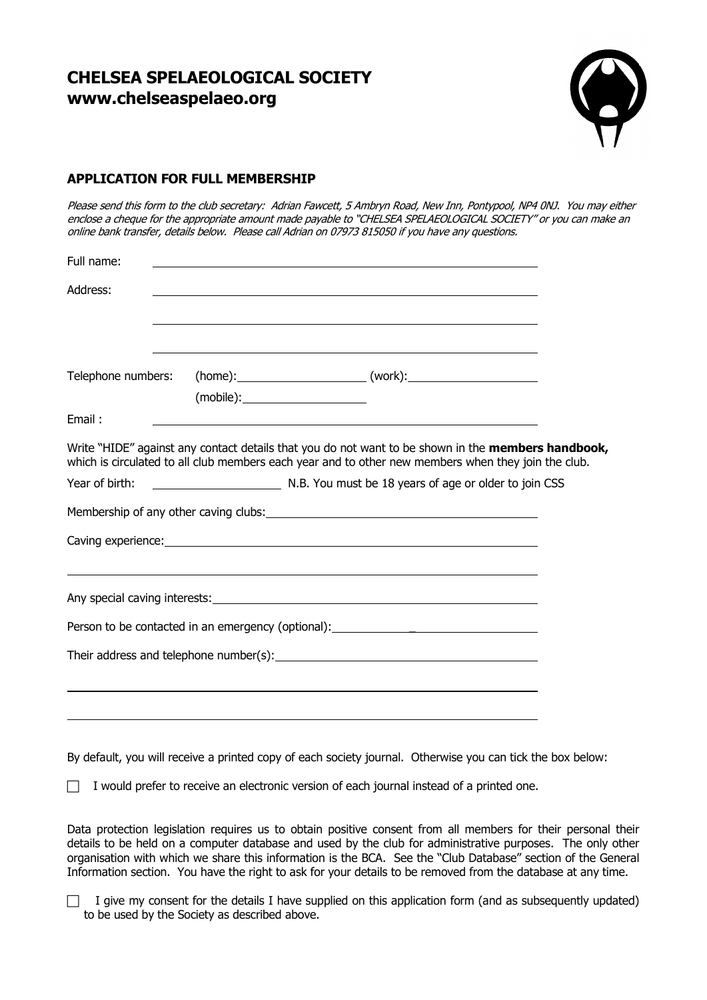# **CHELSEA SPELAEOLOGICAL SOCIETY www.chelseaspelaeo.org**



## **APPLICATION FOR FULL MEMBERSHIP**

Please send this form to the club secretary: Adrian Fawcett, 5 Ambryn Road, New Inn, Pontypool, NP4 0NJ. You may either enclose <sup>a</sup> cheque for the appropriate amount made payable to "CHELSEA SPELAEOLOGICAL SOCIETY" or you can make an online bank transfer, details below. Please call Adrian on 07973 815050 if you have any questions.

| Full name:                                                                                                                                                                                                                           |  |                                                                                                                  |  |  |  |  |
|--------------------------------------------------------------------------------------------------------------------------------------------------------------------------------------------------------------------------------------|--|------------------------------------------------------------------------------------------------------------------|--|--|--|--|
| Address:                                                                                                                                                                                                                             |  | and the control of the control of the control of the control of the control of the control of the control of the |  |  |  |  |
|                                                                                                                                                                                                                                      |  |                                                                                                                  |  |  |  |  |
|                                                                                                                                                                                                                                      |  | Telephone numbers: (home): ____________________(work): _________________________                                 |  |  |  |  |
| Email:                                                                                                                                                                                                                               |  |                                                                                                                  |  |  |  |  |
| Write "HIDE" against any contact details that you do not want to be shown in the <b>members handbook,</b><br>which is circulated to all club members each year and to other new members when they join the club.                     |  |                                                                                                                  |  |  |  |  |
| Year of birth:                                                                                                                                                                                                                       |  | N.B. You must be 18 years of age or older to join CSS                                                            |  |  |  |  |
|                                                                                                                                                                                                                                      |  |                                                                                                                  |  |  |  |  |
| Caving experience: <u>contract and contract and contract and contract and contract and contract and contract and contract and contract and contract and contract and contract and contract and contract and contract and contrac</u> |  |                                                                                                                  |  |  |  |  |
|                                                                                                                                                                                                                                      |  |                                                                                                                  |  |  |  |  |
|                                                                                                                                                                                                                                      |  |                                                                                                                  |  |  |  |  |
|                                                                                                                                                                                                                                      |  |                                                                                                                  |  |  |  |  |
| Their address and telephone number(s): $\qquad \qquad$ $\qquad \qquad$ $\qquad \qquad$ $\qquad \qquad$ $\qquad \qquad$ $\qquad \qquad$                                                                                               |  |                                                                                                                  |  |  |  |  |
|                                                                                                                                                                                                                                      |  |                                                                                                                  |  |  |  |  |
|                                                                                                                                                                                                                                      |  |                                                                                                                  |  |  |  |  |

By default, you will receive a printed copy of each society journal. Otherwise you can tick the box below:

 $\Box$  I would prefer to receive an electronic version of each journal instead of a printed one.

Data protection legislation requires us to obtain positive consent from all members for their personal their details to be held on a computer database and used by the club for administrative purposes. The only other organisation with which we share this information is the BCA. See the "Club Database" section of the General Information section. You have the right to ask for your details to be removed from the database at any time.

 $\Box$  I give my consent for the details I have supplied on this application form (and as subsequently updated) to be used by the Society as described above.